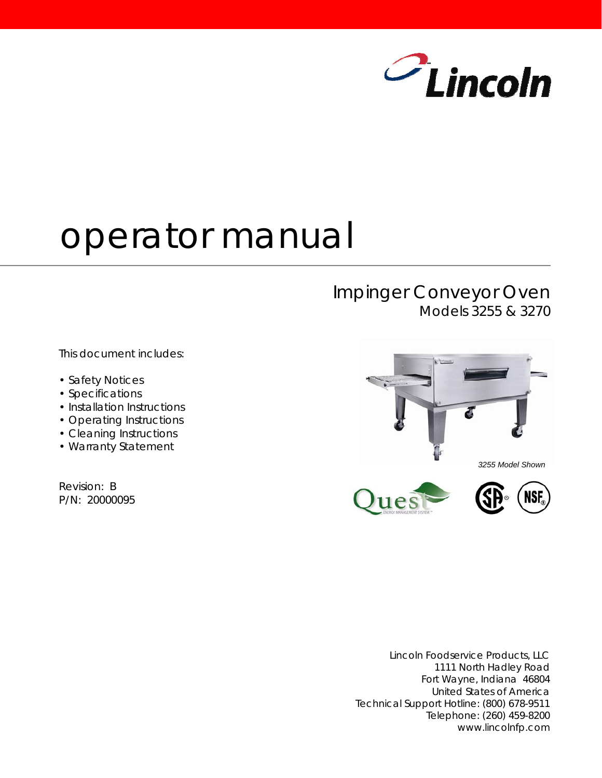

# operator manual

# *Impinger Conveyor Oven Models 3255 & 3270*

This document includes:

- Safety Notices
- Specifications
- Installation Instructions
- Operating Instructions
- Cleaning Instructions
- Warranty Statement

Revision: B P/N: 20000095



Lincoln Foodservice Products, LLC 1111 North Hadley Road Fort Wayne, Indiana 46804 United States of America Technical Support Hotline: (800) 678-9511 Telephone: (260) 459-8200 www.lincolnfp.com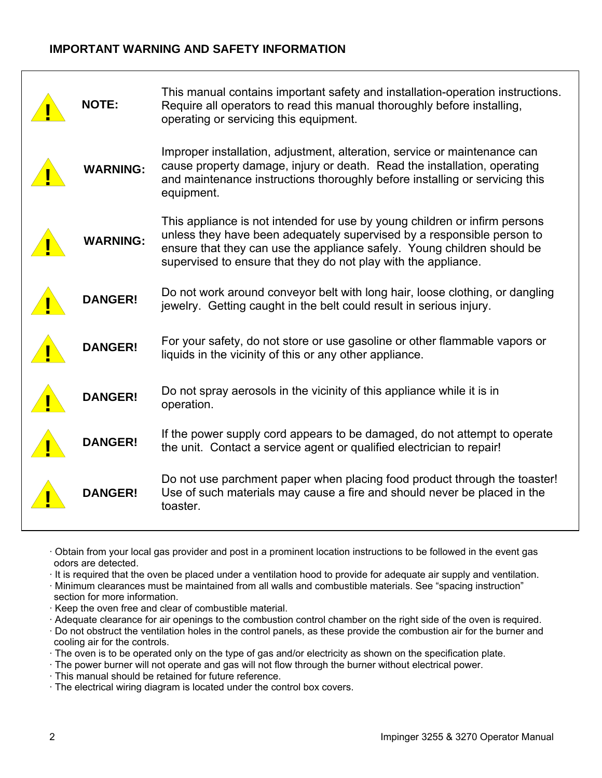# **IMPORTANT WARNING AND SAFETY INFORMATION**

| <b>NOTE:</b>    | This manual contains important safety and installation-operation instructions.<br>Require all operators to read this manual thoroughly before installing,<br>operating or servicing this equipment.                                                                                               |
|-----------------|---------------------------------------------------------------------------------------------------------------------------------------------------------------------------------------------------------------------------------------------------------------------------------------------------|
| <b>WARNING:</b> | Improper installation, adjustment, alteration, service or maintenance can<br>cause property damage, injury or death. Read the installation, operating<br>and maintenance instructions thoroughly before installing or servicing this<br>equipment.                                                |
| <b>WARNING:</b> | This appliance is not intended for use by young children or infirm persons<br>unless they have been adequately supervised by a responsible person to<br>ensure that they can use the appliance safely. Young children should be<br>supervised to ensure that they do not play with the appliance. |
| <b>DANGER!</b>  | Do not work around conveyor belt with long hair, loose clothing, or dangling<br>jewelry. Getting caught in the belt could result in serious injury.                                                                                                                                               |
| <b>DANGER!</b>  | For your safety, do not store or use gasoline or other flammable vapors or<br>liquids in the vicinity of this or any other appliance.                                                                                                                                                             |
| <b>DANGER!</b>  | Do not spray aerosols in the vicinity of this appliance while it is in<br>operation.                                                                                                                                                                                                              |
| <b>DANGER!</b>  | If the power supply cord appears to be damaged, do not attempt to operate<br>the unit. Contact a service agent or qualified electrician to repair!                                                                                                                                                |
| <b>DANGER!</b>  | Do not use parchment paper when placing food product through the toaster!<br>Use of such materials may cause a fire and should never be placed in the<br>toaster.                                                                                                                                 |

- · Obtain from your local gas provider and post in a prominent location instructions to be followed in the event gas odors are detected.
- · It is required that the oven be placed under a ventilation hood to provide for adequate air supply and ventilation.

· Minimum clearances must be maintained from all walls and combustible materials. See "spacing instruction" section for more information.

- · Keep the oven free and clear of combustible material.
- · Adequate clearance for air openings to the combustion control chamber on the right side of the oven is required.
- · Do not obstruct the ventilation holes in the control panels, as these provide the combustion air for the burner and cooling air for the controls.
- · The oven is to be operated only on the type of gas and/or electricity as shown on the specification plate.
- · The power burner will not operate and gas will not flow through the burner without electrical power.
- · This manual should be retained for future reference.
- · The electrical wiring diagram is located under the control box covers.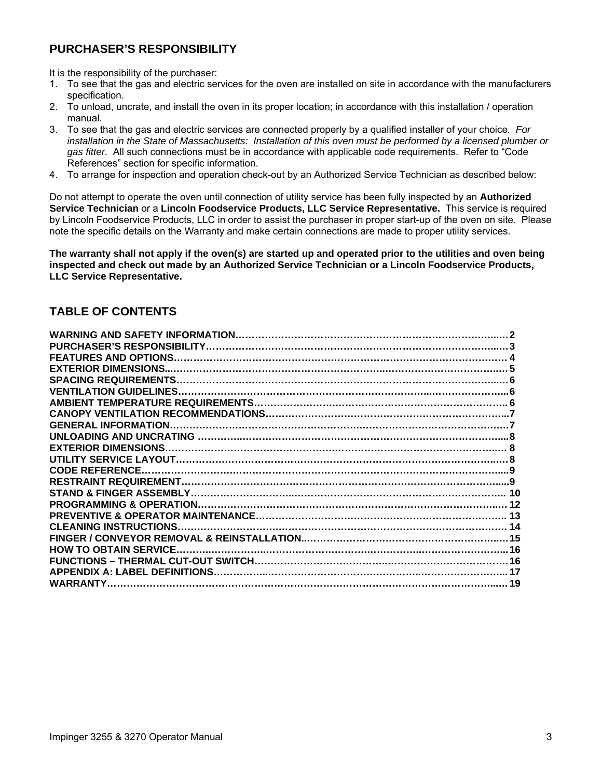# **PURCHASER'S RESPONSIBILITY**

It is the responsibility of the purchaser:

- 1. To see that the gas and electric services for the oven are installed on site in accordance with the manufacturers specification.
- 2. To unload, uncrate, and install the oven in its proper location; in accordance with this installation / operation manual.
- 3. To see that the gas and electric services are connected properly by a qualified installer of your choice*. For installation in the State of Massachusetts: Installation of this oven must be performed by a licensed plumber or gas fitter.* All such connections must be in accordance with applicable code requirements. Refer to "Code References" section for specific information.
- 4. To arrange for inspection and operation check-out by an Authorized Service Technician as described below:

Do not attempt to operate the oven until connection of utility service has been fully inspected by an **Authorized Service Technician** or a **Lincoln Foodservice Products, LLC Service Representative.** This service is required by Lincoln Foodservice Products, LLC in order to assist the purchaser in proper start-up of the oven on site. Please note the specific details on the Warranty and make certain connections are made to proper utility services.

**The warranty shall not apply if the oven(s) are started up and operated prior to the utilities and oven being inspected and check out made by an Authorized Service Technician or a Lincoln Foodservice Products, LLC Service Representative.** 

# **TABLE OF CONTENTS**

| WARRANTY |  |
|----------|--|
|          |  |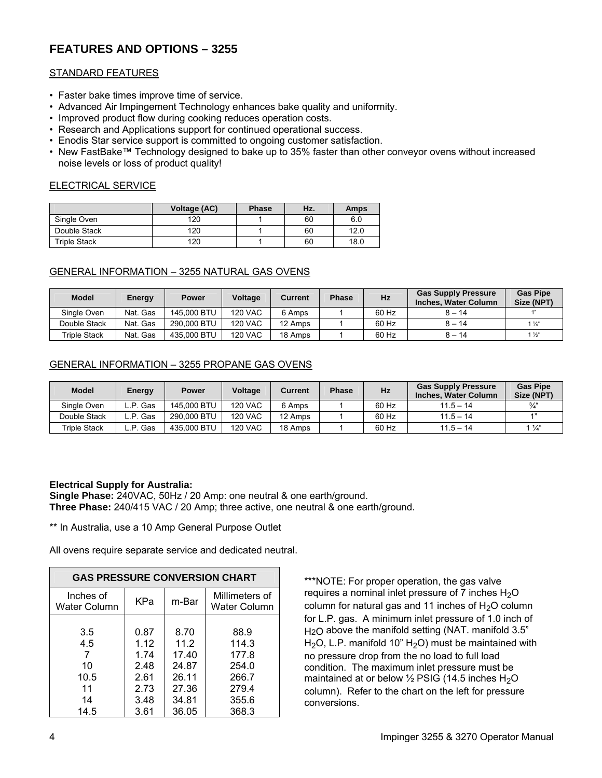# **FEATURES AND OPTIONS – 3255**

## STANDARD FEATURES

- Faster bake times improve time of service.
- Advanced Air Impingement Technology enhances bake quality and uniformity.
- Improved product flow during cooking reduces operation costs.
- Research and Applications support for continued operational success.
- Enodis Star service support is committed to ongoing customer satisfaction.
- New FastBake™ Technology designed to bake up to 35% faster than other conveyor ovens without increased noise levels or loss of product quality!

#### ELECTRICAL SERVICE

|                     | Voltage (AC) | <b>Phase</b> | Hz. | Amps |
|---------------------|--------------|--------------|-----|------|
| Single Oven         | 120          |              | 60  | 6.0  |
| Double Stack        | 120          |              | 60  | 12.0 |
| <b>Triple Stack</b> | 120          |              | 60  | 18.0 |

#### GENERAL INFORMATION – 3255 NATURAL GAS OVENS

| <b>Model</b> | Energy   | <b>Power</b> | Voltage        | Current | <b>Phase</b> | Hz    | <b>Gas Supply Pressure</b><br><b>Inches. Water Column</b> | <b>Gas Pipe</b><br>Size (NPT) |
|--------------|----------|--------------|----------------|---------|--------------|-------|-----------------------------------------------------------|-------------------------------|
| Single Oven  | Nat. Gas | 145.000 BTU  | 120 VAC        | 6 Amps  |              | 60 Hz | $8 - 14$                                                  |                               |
| Double Stack | Nat. Gas | 290,000 BTU  | <b>120 VAC</b> | 12 Amps |              | 60 Hz | $8 - 14$                                                  | $1\frac{1}{4}$                |
| Triple Stack | Nat. Gas | 435,000 BTU  | <b>120 VAC</b> | 18 Amps |              | 60 Hz | $8 - 14$                                                  | $1\frac{1}{2}$                |

#### GENERAL INFORMATION – 3255 PROPANE GAS OVENS

| <b>Model</b> | Energy  | <b>Power</b> | Voltage        | Current | <b>Phase</b> | Hz    | <b>Gas Supply Pressure</b><br><b>Inches. Water Column</b> | <b>Gas Pipe</b><br>Size (NPT) |
|--------------|---------|--------------|----------------|---------|--------------|-------|-----------------------------------------------------------|-------------------------------|
| Single Oven  | P. Gas  | 145,000 BTU  | 120 VAC        | 6 Amps  |              | 60 Hz | $115 - 14$                                                | $\frac{3}{4}$ "               |
| Double Stack | .P. Gas | 290,000 BTU  | <b>120 VAC</b> | 12 Amps |              | 60 Hz | $115 - 14$                                                |                               |
| Triple Stack | .P. Gas | 435,000 BTU  | <b>120 VAC</b> | 18 Amps |              | 60 Hz | $11.5 - 14$                                               | $1\frac{1}{4}$                |

#### **Electrical Supply for Australia:**

**Single Phase:** 240VAC, 50Hz / 20 Amp: one neutral & one earth/ground. **Three Phase:** 240/415 VAC / 20 Amp; three active, one neutral & one earth/ground.

\*\* In Australia, use a 10 Amp General Purpose Outlet

All ovens require separate service and dedicated neutral.

| <b>GAS PRESSURE CONVERSION CHART</b>      |                                                      |                                                           |                                                            |  |  |  |  |
|-------------------------------------------|------------------------------------------------------|-----------------------------------------------------------|------------------------------------------------------------|--|--|--|--|
| Inches of<br>Water Column                 | KPa                                                  | m-Bar                                                     | Millimeters of<br>Water Column                             |  |  |  |  |
| 3.5<br>4.5<br>7<br>10<br>10.5<br>11<br>14 | 0.87<br>1.12<br>1.74<br>2.48<br>2.61<br>2.73<br>3.48 | 8.70<br>11.2<br>17.40<br>24.87<br>26.11<br>27.36<br>34.81 | 88.9<br>114.3<br>177.8<br>254.0<br>266.7<br>279.4<br>355.6 |  |  |  |  |
| 14.5                                      | 3.61                                                 | 36.05                                                     | 368.3                                                      |  |  |  |  |

\*\*\*NOTE: For proper operation, the gas valve requires a nominal inlet pressure of 7 inches  $H_2O$ column for natural gas and 11 inches of  $H<sub>2</sub>O$  column for L.P. gas. A minimum inlet pressure of 1.0 inch of H<sub>2</sub>O above the manifold setting (NAT. manifold 3.5"  $H<sub>2</sub>O$ , L.P. manifold 10"  $H<sub>2</sub>O$ ) must be maintained with no pressure drop from the no load to full load condition. The maximum inlet pressure must be maintained at or below  $\frac{1}{2}$  PSIG (14.5 inches H<sub>2</sub>O column). Refer to the chart on the left for pressure conversions.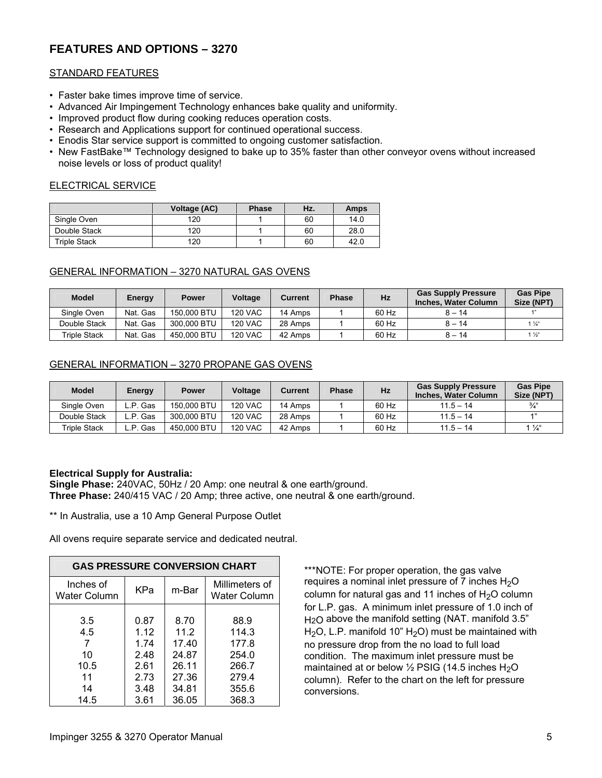# **FEATURES AND OPTIONS – 3270**

#### STANDARD FEATURES

- Faster bake times improve time of service.
- Advanced Air Impingement Technology enhances bake quality and uniformity.
- Improved product flow during cooking reduces operation costs.
- Research and Applications support for continued operational success.
- Enodis Star service support is committed to ongoing customer satisfaction.
- New FastBake™ Technology designed to bake up to 35% faster than other conveyor ovens without increased noise levels or loss of product quality!

#### ELECTRICAL SERVICE

|                     | Voltage (AC) | Phase | Hz. | Amps |
|---------------------|--------------|-------|-----|------|
| Single Oven         | 120          |       | 60  | 14.0 |
| Double Stack        | 120          |       | 60  | 28.0 |
| <b>Triple Stack</b> | 120          |       | 60  | 42.0 |

#### GENERAL INFORMATION – 3270 NATURAL GAS OVENS

| <b>Model</b> | Energy   | <b>Power</b> | Voltage        | Current | <b>Phase</b> | Hz    | <b>Gas Supply Pressure</b><br><b>Inches. Water Column</b> | <b>Gas Pipe</b><br>Size (NPT) |
|--------------|----------|--------------|----------------|---------|--------------|-------|-----------------------------------------------------------|-------------------------------|
| Single Oven  | Nat. Gas | 150,000 BTU  | <b>120 VAC</b> | 14 Amps |              | 60 Hz | $8 - 14$                                                  |                               |
| Double Stack | Nat. Gas | 300,000 BTU  | <b>120 VAC</b> | 28 Amps |              | 60 Hz | $8 - 14$                                                  | $1\frac{1}{4}$                |
| Triple Stack | Nat. Gas | 450,000 BTU  | <b>120 VAC</b> | 42 Amps |              | 60 Hz | $8 - 14$                                                  | $1\frac{1}{2}$                |

#### GENERAL INFORMATION – 3270 PROPANE GAS OVENS

| <b>Model</b> | Energy   | <b>Power</b> | Voltage        | Current | <b>Phase</b> | Hz    | <b>Gas Supply Pressure</b><br>Inches. Water Column | <b>Gas Pipe</b><br>Size (NPT) |
|--------------|----------|--------------|----------------|---------|--------------|-------|----------------------------------------------------|-------------------------------|
| Single Oven  | ∟.P. Gas | 150,000 BTU  | <b>120 VAC</b> | 14 Amps |              | 60 Hz | $11.5 - 14$                                        | $\frac{3}{4}$ "               |
| Double Stack | .P. Gas  | 300,000 BTU  | <b>120 VAC</b> | 28 Amps |              | 60 Hz | $115 - 14$                                         |                               |
| Triple Stack | P. Gas   | 450,000 BTU  | <b>120 VAC</b> | 42 Amps |              | 60 Hz | $115 - 14$                                         | $1\frac{1}{4}$                |

#### **Electrical Supply for Australia:**

**Single Phase:** 240VAC, 50Hz / 20 Amp: one neutral & one earth/ground. **Three Phase:** 240/415 VAC / 20 Amp; three active, one neutral & one earth/ground.

\*\* In Australia, use a 10 Amp General Purpose Outlet

All ovens require separate service and dedicated neutral.

| <b>GAS PRESSURE CONVERSION CHART</b>              |                                                              |                                                                    |                                                                     |  |  |  |  |
|---------------------------------------------------|--------------------------------------------------------------|--------------------------------------------------------------------|---------------------------------------------------------------------|--|--|--|--|
| Inches of<br>Water Column                         | KPa                                                          | m-Bar                                                              | Millimeters of<br>Water Column                                      |  |  |  |  |
| 3.5<br>4.5<br>7<br>10<br>10.5<br>11<br>14<br>14.5 | 0.87<br>1.12<br>1.74<br>2.48<br>2.61<br>2.73<br>3.48<br>3.61 | 8.70<br>11.2<br>17.40<br>24.87<br>26.11<br>27.36<br>34.81<br>36.05 | 88.9<br>114.3<br>177.8<br>254.0<br>266.7<br>279.4<br>355.6<br>368.3 |  |  |  |  |

\*\*\*NOTE: For proper operation, the gas valve requires a nominal inlet pressure of 7 inches  $H_2O$ column for natural gas and 11 inches of  $H<sub>2</sub>O$  column for L.P. gas. A minimum inlet pressure of 1.0 inch of  $H_2O$  above the manifold setting (NAT. manifold 3.5" H<sub>2</sub>O, L.P. manifold 10" H<sub>2</sub>O) must be maintained with no pressure drop from the no load to full load condition. The maximum inlet pressure must be maintained at or below  $\frac{1}{2}$  PSIG (14.5 inches H<sub>2</sub>O column). Refer to the chart on the left for pressure conversions.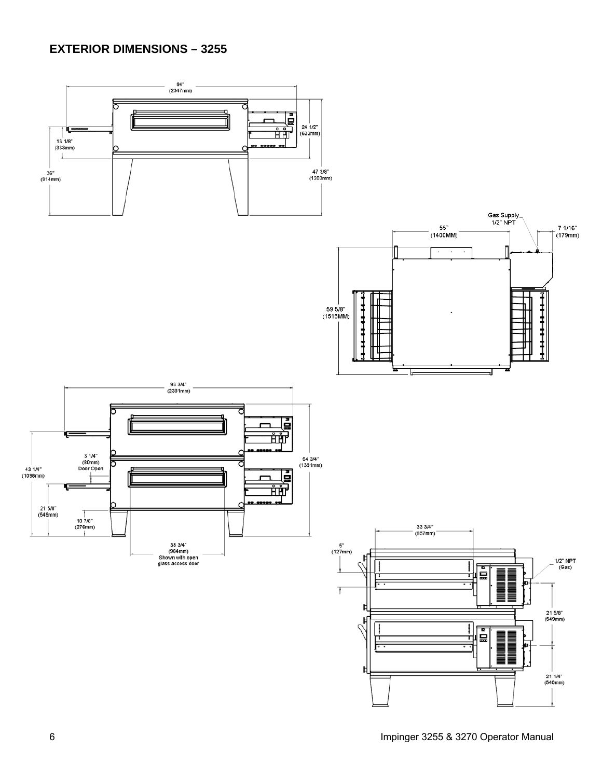# **EXTERIOR DIMENSIONS – 3255**

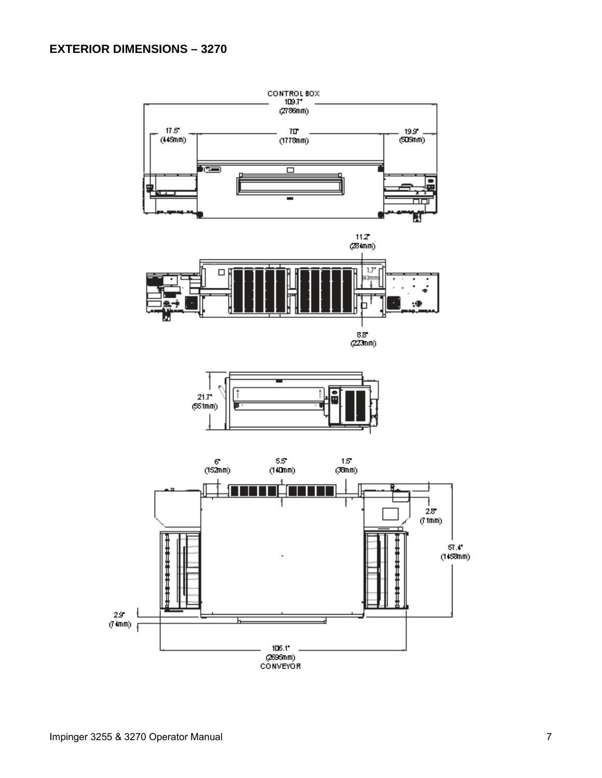# **EXTERIOR DIMENSIONS – 3270**

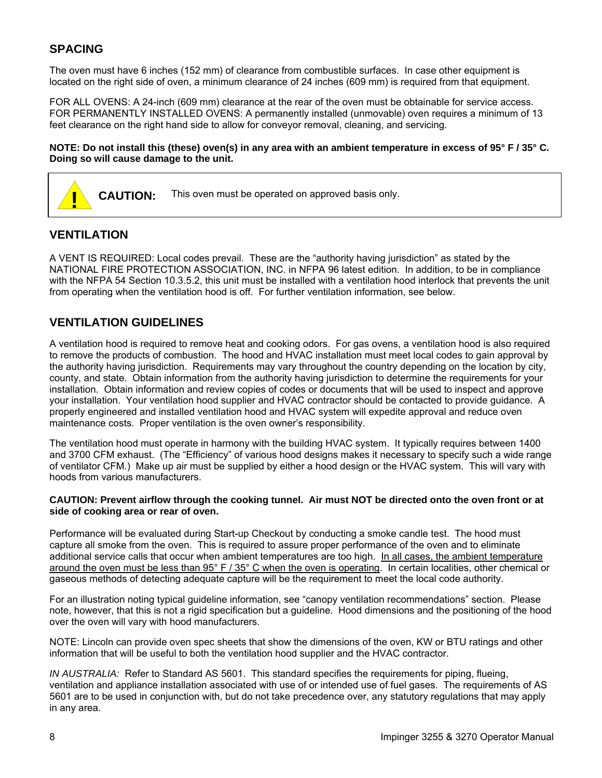# **SPACING**

The oven must have 6 inches (152 mm) of clearance from combustible surfaces. In case other equipment is located on the right side of oven, a minimum clearance of 24 inches (609 mm) is required from that equipment.

FOR ALL OVENS: A 24-inch (609 mm) clearance at the rear of the oven must be obtainable for service access. FOR PERMANENTLY INSTALLED OVENS: A permanently installed (unmovable) oven requires a minimum of 13 feet clearance on the right hand side to allow for conveyor removal, cleaning, and servicing.

#### **NOTE: Do not install this (these) oven(s) in any area with an ambient temperature in excess of 95° F / 35° C. Doing so will cause damage to the unit.**

**CAUTION:** This oven must be operated on approved basis only.

# **VENTILATION**

A VENT IS REQUIRED: Local codes prevail. These are the "authority having jurisdiction" as stated by the NATIONAL FIRE PROTECTION ASSOCIATION, INC. in NFPA 96 latest edition. In addition, to be in compliance with the NFPA 54 Section 10.3.5.2, this unit must be installed with a ventilation hood interlock that prevents the unit from operating when the ventilation hood is off. For further ventilation information, see below.

# **VENTILATION GUIDELINES**

A ventilation hood is required to remove heat and cooking odors. For gas ovens, a ventilation hood is also required to remove the products of combustion. The hood and HVAC installation must meet local codes to gain approval by the authority having jurisdiction. Requirements may vary throughout the country depending on the location by city, county, and state. Obtain information from the authority having jurisdiction to determine the requirements for your installation. Obtain information and review copies of codes or documents that will be used to inspect and approve your installation. Your ventilation hood supplier and HVAC contractor should be contacted to provide guidance. A properly engineered and installed ventilation hood and HVAC system will expedite approval and reduce oven maintenance costs. Proper ventilation is the oven owner's responsibility.

The ventilation hood must operate in harmony with the building HVAC system. It typically requires between 1400 and 3700 CFM exhaust. (The "Efficiency" of various hood designs makes it necessary to specify such a wide range of ventilator CFM.) Make up air must be supplied by either a hood design or the HVAC system. This will vary with hoods from various manufacturers.

#### **CAUTION: Prevent airflow through the cooking tunnel. Air must NOT be directed onto the oven front or at side of cooking area or rear of oven.**

Performance will be evaluated during Start-up Checkout by conducting a smoke candle test. The hood must capture all smoke from the oven. This is required to assure proper performance of the oven and to eliminate additional service calls that occur when ambient temperatures are too high. In all cases, the ambient temperature around the oven must be less than 95° F / 35° C when the oven is operating. In certain localities, other chemical or gaseous methods of detecting adequate capture will be the requirement to meet the local code authority.

For an illustration noting typical guideline information, see "canopy ventilation recommendations" section. Please note, however, that this is not a rigid specification but a guideline. Hood dimensions and the positioning of the hood over the oven will vary with hood manufacturers.

NOTE: Lincoln can provide oven spec sheets that show the dimensions of the oven, KW or BTU ratings and other information that will be useful to both the ventilation hood supplier and the HVAC contractor.

*IN AUSTRALIA:* Refer to Standard AS 5601. This standard specifies the requirements for piping, flueing, ventilation and appliance installation associated with use of or intended use of fuel gases. The requirements of AS 5601 are to be used in conjunction with, but do not take precedence over, any statutory regulations that may apply in any area.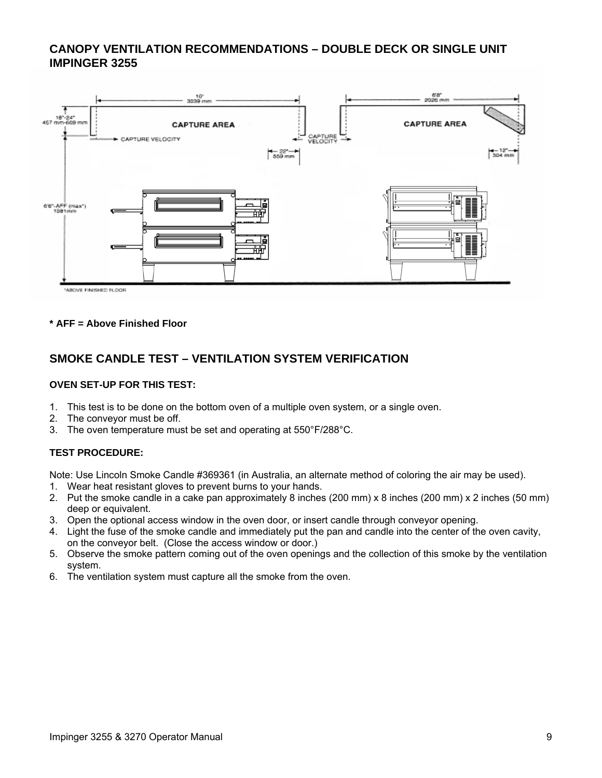## **CANOPY VENTILATION RECOMMENDATIONS – DOUBLE DECK OR SINGLE UNIT IMPINGER 3255**



#### **\* AFF = Above Finished Floor**

## **SMOKE CANDLE TEST – VENTILATION SYSTEM VERIFICATION**

#### **OVEN SET-UP FOR THIS TEST:**

- 1. This test is to be done on the bottom oven of a multiple oven system, or a single oven.
- 2. The conveyor must be off.
- 3. The oven temperature must be set and operating at 550°F/288°C.

#### **TEST PROCEDURE:**

Note: Use Lincoln Smoke Candle #369361 (in Australia, an alternate method of coloring the air may be used).

- 1. Wear heat resistant gloves to prevent burns to your hands.
- 2. Put the smoke candle in a cake pan approximately 8 inches (200 mm) x 8 inches (200 mm) x 2 inches (50 mm) deep or equivalent.
- 3. Open the optional access window in the oven door, or insert candle through conveyor opening.
- 4. Light the fuse of the smoke candle and immediately put the pan and candle into the center of the oven cavity, on the conveyor belt. (Close the access window or door.)
- 5. Observe the smoke pattern coming out of the oven openings and the collection of this smoke by the ventilation system.
- 6. The ventilation system must capture all the smoke from the oven.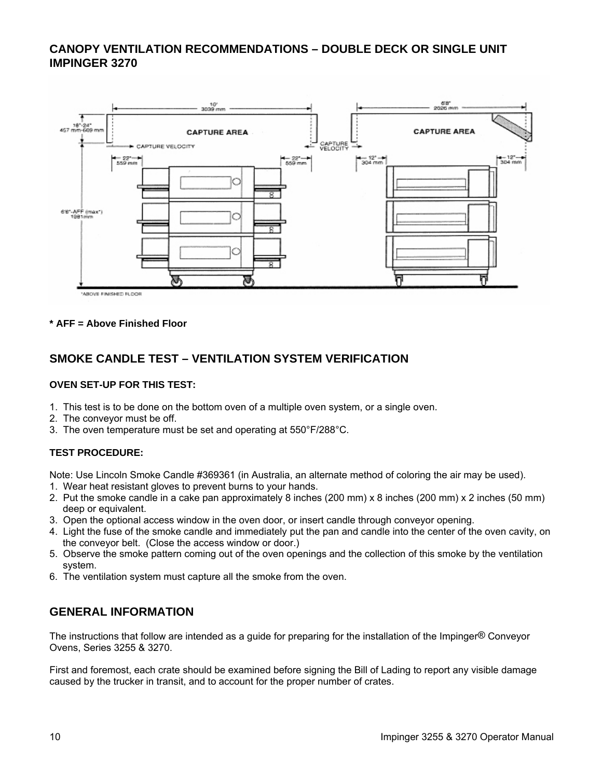## **CANOPY VENTILATION RECOMMENDATIONS – DOUBLE DECK OR SINGLE UNIT IMPINGER 3270**



#### **\* AFF = Above Finished Floor**

# **SMOKE CANDLE TEST – VENTILATION SYSTEM VERIFICATION**

#### **OVEN SET-UP FOR THIS TEST:**

- 1. This test is to be done on the bottom oven of a multiple oven system, or a single oven.
- 2. The conveyor must be off.
- 3. The oven temperature must be set and operating at 550°F/288°C.

#### **TEST PROCEDURE:**

Note: Use Lincoln Smoke Candle #369361 (in Australia, an alternate method of coloring the air may be used).

- 1. Wear heat resistant gloves to prevent burns to your hands.
- 2. Put the smoke candle in a cake pan approximately 8 inches (200 mm) x 8 inches (200 mm) x 2 inches (50 mm) deep or equivalent.
- 3. Open the optional access window in the oven door, or insert candle through conveyor opening.
- 4. Light the fuse of the smoke candle and immediately put the pan and candle into the center of the oven cavity, on the conveyor belt. (Close the access window or door.)
- 5. Observe the smoke pattern coming out of the oven openings and the collection of this smoke by the ventilation system.
- 6. The ventilation system must capture all the smoke from the oven.

# **GENERAL INFORMATION**

The instructions that follow are intended as a guide for preparing for the installation of the Impinger® Conveyor Ovens, Series 3255 & 3270.

First and foremost, each crate should be examined before signing the Bill of Lading to report any visible damage caused by the trucker in transit, and to account for the proper number of crates.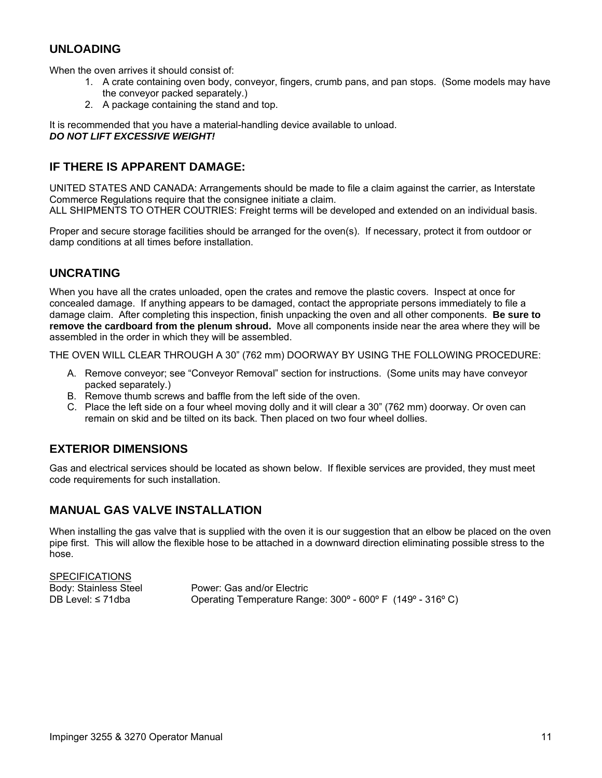# **UNLOADING**

When the oven arrives it should consist of:

- 1. A crate containing oven body, conveyor, fingers, crumb pans, and pan stops. (Some models may have the conveyor packed separately.)
- 2. A package containing the stand and top.

It is recommended that you have a material-handling device available to unload. *DO NOT LIFT EXCESSIVE WEIGHT!* 

# **IF THERE IS APPARENT DAMAGE:**

UNITED STATES AND CANADA: Arrangements should be made to file a claim against the carrier, as Interstate Commerce Regulations require that the consignee initiate a claim.

ALL SHIPMENTS TO OTHER COUTRIES: Freight terms will be developed and extended on an individual basis.

Proper and secure storage facilities should be arranged for the oven(s). If necessary, protect it from outdoor or damp conditions at all times before installation.

# **UNCRATING**

When you have all the crates unloaded, open the crates and remove the plastic covers. Inspect at once for concealed damage. If anything appears to be damaged, contact the appropriate persons immediately to file a damage claim. After completing this inspection, finish unpacking the oven and all other components. **Be sure to remove the cardboard from the plenum shroud.** Move all components inside near the area where they will be assembled in the order in which they will be assembled.

THE OVEN WILL CLEAR THROUGH A 30" (762 mm) DOORWAY BY USING THE FOLLOWING PROCEDURE:

- A. Remove conveyor; see "Conveyor Removal" section for instructions. (Some units may have conveyor packed separately.)
- B. Remove thumb screws and baffle from the left side of the oven.
- C. Place the left side on a four wheel moving dolly and it will clear a 30" (762 mm) doorway. Or oven can remain on skid and be tilted on its back. Then placed on two four wheel dollies.

# **EXTERIOR DIMENSIONS**

Gas and electrical services should be located as shown below. If flexible services are provided, they must meet code requirements for such installation.

## **MANUAL GAS VALVE INSTALLATION**

When installing the gas valve that is supplied with the oven it is our suggestion that an elbow be placed on the oven pipe first. This will allow the flexible hose to be attached in a downward direction eliminating possible stress to the hose.

**SPECIFICATIONS** Body: Stainless Steel Power: Gas and/or Electric DB Level: ≤ 71dba Operating Temperature Range: 300º - 600º F (149º - 316º C)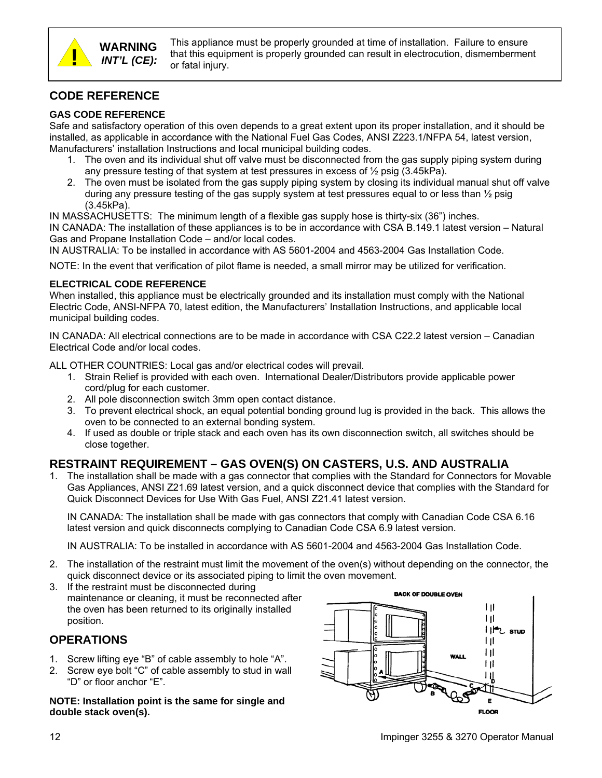

This appliance must be properly grounded at time of installation. Failure to ensure that this equipment is properly grounded can result in electrocution, dismemberment or fatal injury.

# **CODE REFERENCE**

## **GAS CODE REFERENCE**

Safe and satisfactory operation of this oven depends to a great extent upon its proper installation, and it should be installed, as applicable in accordance with the National Fuel Gas Codes, ANSI Z223.1/NFPA 54, latest version, Manufacturers' installation Instructions and local municipal building codes.

- 1. The oven and its individual shut off valve must be disconnected from the gas supply piping system during any pressure testing of that system at test pressures in excess of  $\frac{1}{2}$  psig (3.45kPa).
- 2. The oven must be isolated from the gas supply piping system by closing its individual manual shut off valve during any pressure testing of the gas supply system at test pressures equal to or less than ½ psig (3.45kPa).

IN MASSACHUSETTS: The minimum length of a flexible gas supply hose is thirty-six (36") inches.

IN CANADA: The installation of these appliances is to be in accordance with CSA B.149.1 latest version – Natural Gas and Propane Installation Code – and/or local codes.

IN AUSTRALIA: To be installed in accordance with AS 5601-2004 and 4563-2004 Gas Installation Code.

NOTE: In the event that verification of pilot flame is needed, a small mirror may be utilized for verification.

#### **ELECTRICAL CODE REFERENCE**

When installed, this appliance must be electrically grounded and its installation must comply with the National Electric Code, ANSI-NFPA 70, latest edition, the Manufacturers' Installation Instructions, and applicable local municipal building codes.

IN CANADA: All electrical connections are to be made in accordance with CSA C22.2 latest version – Canadian Electrical Code and/or local codes.

ALL OTHER COUNTRIES: Local gas and/or electrical codes will prevail.

- 1. Strain Relief is provided with each oven. International Dealer/Distributors provide applicable power cord/plug for each customer.
- 2. All pole disconnection switch 3mm open contact distance.
- 3. To prevent electrical shock, an equal potential bonding ground lug is provided in the back. This allows the oven to be connected to an external bonding system.
- 4. If used as double or triple stack and each oven has its own disconnection switch, all switches should be close together.

## **RESTRAINT REQUIREMENT – GAS OVEN(S) ON CASTERS, U.S. AND AUSTRALIA**

1. The installation shall be made with a gas connector that complies with the Standard for Connectors for Movable Gas Appliances, ANSI Z21.69 latest version, and a quick disconnect device that complies with the Standard for Quick Disconnect Devices for Use With Gas Fuel, ANSI Z21.41 latest version.

IN CANADA: The installation shall be made with gas connectors that comply with Canadian Code CSA 6.16 latest version and quick disconnects complying to Canadian Code CSA 6.9 latest version.

IN AUSTRALIA: To be installed in accordance with AS 5601-2004 and 4563-2004 Gas Installation Code.

- 2. The installation of the restraint must limit the movement of the oven(s) without depending on the connector, the quick disconnect device or its associated piping to limit the oven movement.
- 3. If the restraint must be disconnected during maintenance or cleaning, it must be reconnected after the oven has been returned to its originally installed position.

## **OPERATIONS**

- 1. Screw lifting eye "B" of cable assembly to hole "A".
- 2. Screw eye bolt "C" of cable assembly to stud in wall "D" or floor anchor "E".

**NOTE: Installation point is the same for single and double stack oven(s).**

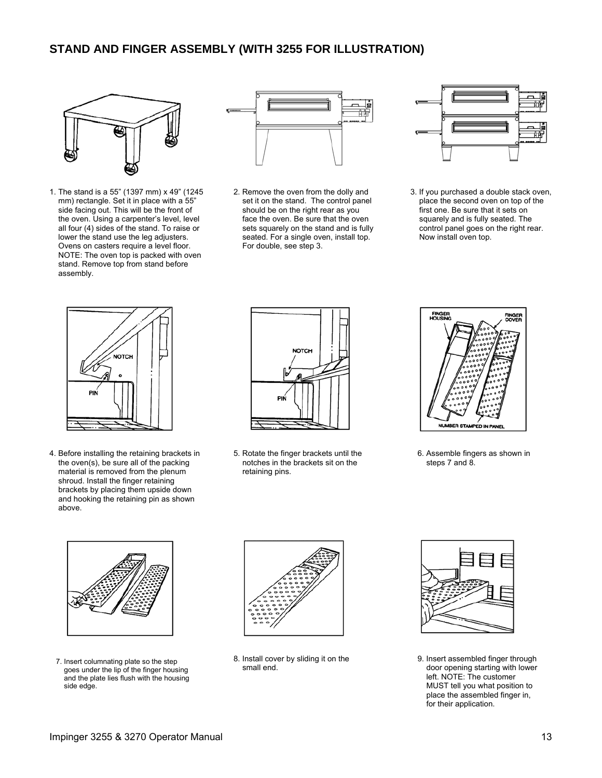## **STAND AND FINGER ASSEMBLY (WITH 3255 FOR ILLUSTRATION)**



1. The stand is a 55" (1397 mm) x 49" (1245 mm) rectangle. Set it in place with a 55" side facing out. This will be the front of the oven. Using a carpenter's level, level all four (4) sides of the stand. To raise or lower the stand use the leg adjusters. Ovens on casters require a level floor. NOTE: The oven top is packed with oven stand. Remove top from stand before assembly.



2. Remove the oven from the dolly and set it on the stand. The control panel should be on the right rear as you face the oven. Be sure that the oven sets squarely on the stand and is fully seated. For a single oven, install top. For double, see step 3.



3. If you purchased a double stack oven, place the second oven on top of the first one. Be sure that it sets on squarely and is fully seated. The control panel goes on the right rear. Now install oven top.



4. Before installing the retaining brackets in the oven(s), be sure all of the packing material is removed from the plenum shroud. Install the finger retaining brackets by placing them upside down and hooking the retaining pin as shown above.



5. Rotate the finger brackets until the notches in the brackets sit on the retaining pins.



6. Assemble fingers as shown in steps 7 and 8.



7. Insert columnating plate so the step goes under the lip of the finger housing and the plate lies flush with the housing side edge.



8. Install cover by sliding it on the small end.



9. Insert assembled finger through door opening starting with lower left. NOTE: The customer MUST tell you what position to place the assembled finger in, for their application.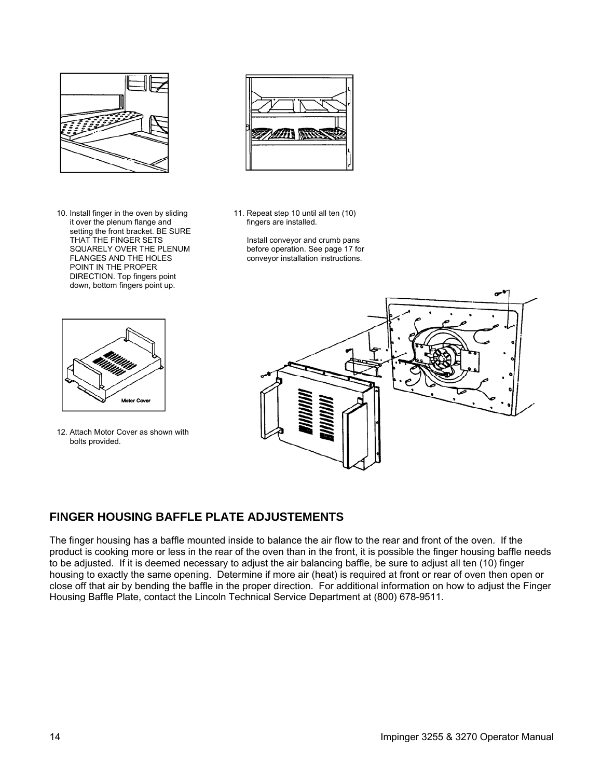

10. Install finger in the oven by sliding it over the plenum flange and setting the front bracket. BE SURE THAT THE FINGER SETS SQUARELY OVER THE PLENUM FLANGES AND THE HOLES POINT IN THE PROPER DIRECTION. Top fingers point down, bottom fingers point up.



12. Attach Motor Cover as shown with bolts provided.



11. Repeat step 10 until all ten (10) fingers are installed.

> Install conveyor and crumb pans before operation. See page 17 for conveyor installation instructions.



# **FINGER HOUSING BAFFLE PLATE ADJUSTEMENTS**

The finger housing has a baffle mounted inside to balance the air flow to the rear and front of the oven. If the product is cooking more or less in the rear of the oven than in the front, it is possible the finger housing baffle needs to be adjusted. If it is deemed necessary to adjust the air balancing baffle, be sure to adjust all ten (10) finger housing to exactly the same opening. Determine if more air (heat) is required at front or rear of oven then open or close off that air by bending the baffle in the proper direction. For additional information on how to adjust the Finger Housing Baffle Plate, contact the Lincoln Technical Service Department at (800) 678-9511.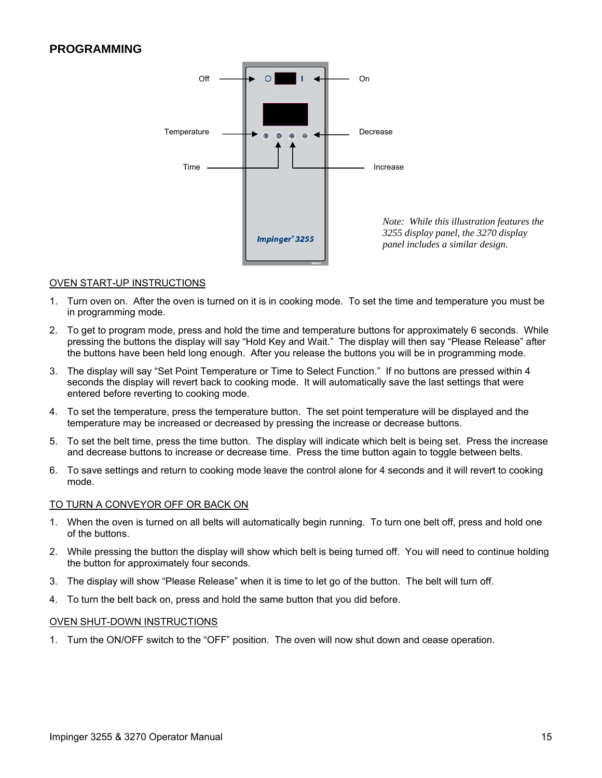# **PROGRAMMING**



*Note: While this illustration features the 3255 display panel, the 3270 display panel includes a similar design.* 

#### OVEN START-UP INSTRUCTIONS

- 1. Turn oven on. After the oven is turned on it is in cooking mode. To set the time and temperature you must be in programming mode.
- 2. To get to program mode, press and hold the time and temperature buttons for approximately 6 seconds. While pressing the buttons the display will say "Hold Key and Wait." The display will then say "Please Release" after the buttons have been held long enough. After you release the buttons you will be in programming mode.
- 3. The display will say "Set Point Temperature or Time to Select Function." If no buttons are pressed within 4 seconds the display will revert back to cooking mode. It will automatically save the last settings that were entered before reverting to cooking mode.
- 4. To set the temperature, press the temperature button. The set point temperature will be displayed and the temperature may be increased or decreased by pressing the increase or decrease buttons.
- 5. To set the belt time, press the time button. The display will indicate which belt is being set. Press the increase and decrease buttons to increase or decrease time. Press the time button again to toggle between belts.
- 6. To save settings and return to cooking mode leave the control alone for 4 seconds and it will revert to cooking mode.

#### TO TURN A CONVEYOR OFF OR BACK ON

- 1. When the oven is turned on all belts will automatically begin running. To turn one belt off, press and hold one of the buttons.
- 2. While pressing the button the display will show which belt is being turned off. You will need to continue holding the button for approximately four seconds.
- 3. The display will show "Please Release" when it is time to let go of the button. The belt will turn off.
- 4. To turn the belt back on, press and hold the same button that you did before.

#### OVEN SHUT-DOWN INSTRUCTIONS

1. Turn the ON/OFF switch to the "OFF" position. The oven will now shut down and cease operation.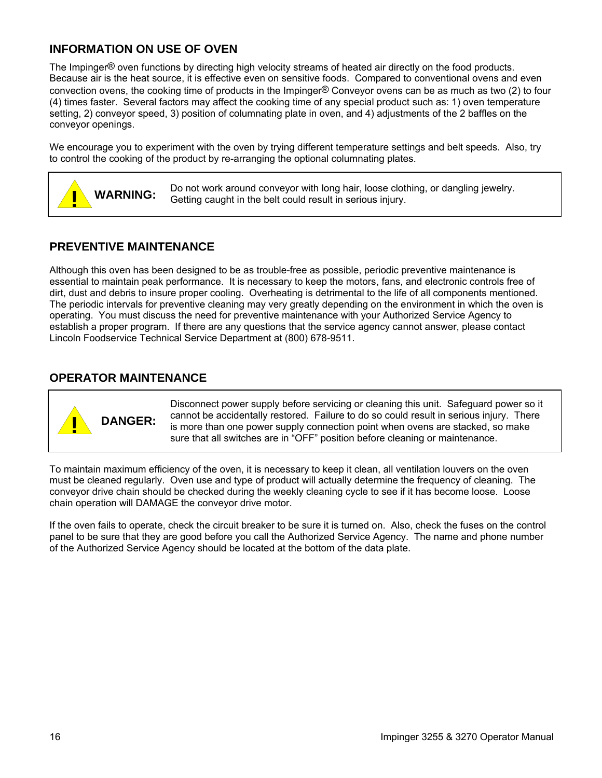# **INFORMATION ON USE OF OVEN**

The Impinger<sup>®</sup> oven functions by directing high velocity streams of heated air directly on the food products. Because air is the heat source, it is effective even on sensitive foods. Compared to conventional ovens and even convection ovens, the cooking time of products in the Impinger® Conveyor ovens can be as much as two (2) to four (4) times faster. Several factors may affect the cooking time of any special product such as: 1) oven temperature setting, 2) conveyor speed, 3) position of columnating plate in oven, and 4) adjustments of the 2 baffles on the conveyor openings.

We encourage you to experiment with the oven by trying different temperature settings and belt speeds. Also, try to control the cooking of the product by re-arranging the optional columnating plates.



**WARNING:** Do not work around conveyor with long hair, loose clothing, or dangling jewelry. Getting caught in the belt could result in serious injury.

## **PREVENTIVE MAINTENANCE**

Although this oven has been designed to be as trouble-free as possible, periodic preventive maintenance is essential to maintain peak performance. It is necessary to keep the motors, fans, and electronic controls free of dirt, dust and debris to insure proper cooling. Overheating is detrimental to the life of all components mentioned. The periodic intervals for preventive cleaning may very greatly depending on the environment in which the oven is operating. You must discuss the need for preventive maintenance with your Authorized Service Agency to establish a proper program. If there are any questions that the service agency cannot answer, please contact Lincoln Foodservice Technical Service Department at (800) 678-9511.

## **OPERATOR MAINTENANCE**



Disconnect power supply before servicing or cleaning this unit. Safeguard power so it cannot be accidentally restored. Failure to do so could result in serious injury. There is more than one power supply connection point when ovens are stacked, so make sure that all switches are in "OFF" position before cleaning or maintenance.

To maintain maximum efficiency of the oven, it is necessary to keep it clean, all ventilation louvers on the oven must be cleaned regularly. Oven use and type of product will actually determine the frequency of cleaning. The conveyor drive chain should be checked during the weekly cleaning cycle to see if it has become loose. Loose chain operation will DAMAGE the conveyor drive motor.

If the oven fails to operate, check the circuit breaker to be sure it is turned on. Also, check the fuses on the control panel to be sure that they are good before you call the Authorized Service Agency. The name and phone number of the Authorized Service Agency should be located at the bottom of the data plate.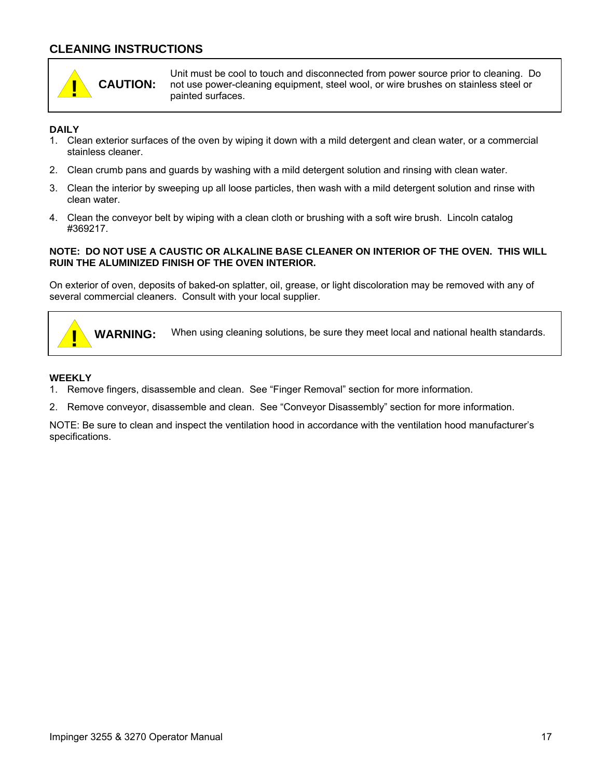# **CLEANING INSTRUCTIONS**



Unit must be cool to touch and disconnected from power source prior to cleaning. Do not use power-cleaning equipment, steel wool, or wire brushes on stainless steel or painted surfaces.

#### **DAILY**

- 1. Clean exterior surfaces of the oven by wiping it down with a mild detergent and clean water, or a commercial stainless cleaner.
- 2. Clean crumb pans and guards by washing with a mild detergent solution and rinsing with clean water.
- 3. Clean the interior by sweeping up all loose particles, then wash with a mild detergent solution and rinse with clean water.
- 4. Clean the conveyor belt by wiping with a clean cloth or brushing with a soft wire brush. Lincoln catalog #369217.

#### **NOTE: DO NOT USE A CAUSTIC OR ALKALINE BASE CLEANER ON INTERIOR OF THE OVEN. THIS WILL RUIN THE ALUMINIZED FINISH OF THE OVEN INTERIOR.**

On exterior of oven, deposits of baked-on splatter, oil, grease, or light discoloration may be removed with any of several commercial cleaners. Consult with your local supplier.



#### **WEEKLY**

- 1. Remove fingers, disassemble and clean. See "Finger Removal" section for more information.
- 2. Remove conveyor, disassemble and clean. See "Conveyor Disassembly" section for more information.

NOTE: Be sure to clean and inspect the ventilation hood in accordance with the ventilation hood manufacturer's specifications.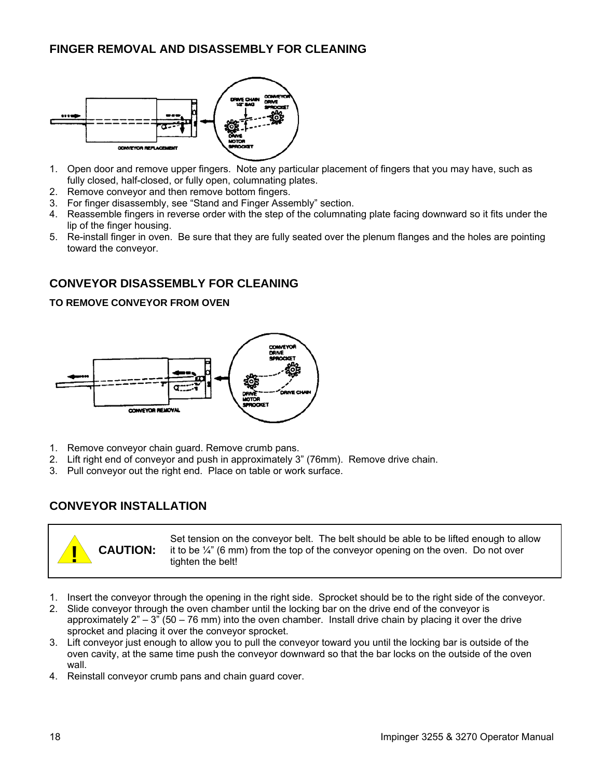# **FINGER REMOVAL AND DISASSEMBLY FOR CLEANING**



- 1. Open door and remove upper fingers. Note any particular placement of fingers that you may have, such as fully closed, half-closed, or fully open, columnating plates.
- 2. Remove conveyor and then remove bottom fingers.
- 3. For finger disassembly, see "Stand and Finger Assembly" section.
- 4. Reassemble fingers in reverse order with the step of the columnating plate facing downward so it fits under the lip of the finger housing.
- 5. Re-install finger in oven. Be sure that they are fully seated over the plenum flanges and the holes are pointing toward the conveyor.

## **CONVEYOR DISASSEMBLY FOR CLEANING**

#### **TO REMOVE CONVEYOR FROM OVEN**



- 1. Remove conveyor chain guard. Remove crumb pans.
- 2. Lift right end of conveyor and push in approximately 3" (76mm). Remove drive chain.
- 3. Pull conveyor out the right end. Place on table or work surface.

# **CONVEYOR INSTALLATION**

**CAUTION: !**

Set tension on the conveyor belt. The belt should be able to be lifted enough to allow it to be  $\frac{1}{4}$ " (6 mm) from the top of the conveyor opening on the oven. Do not over tighten the belt!

- 1. Insert the conveyor through the opening in the right side. Sprocket should be to the right side of the conveyor.
- 2. Slide conveyor through the oven chamber until the locking bar on the drive end of the conveyor is approximately  $2<sup>n</sup> - 3<sup>n</sup>$  (50 – 76 mm) into the oven chamber. Install drive chain by placing it over the drive sprocket and placing it over the conveyor sprocket.
- 3. Lift conveyor just enough to allow you to pull the conveyor toward you until the locking bar is outside of the oven cavity, at the same time push the conveyor downward so that the bar locks on the outside of the oven wall.
- 4. Reinstall conveyor crumb pans and chain guard cover.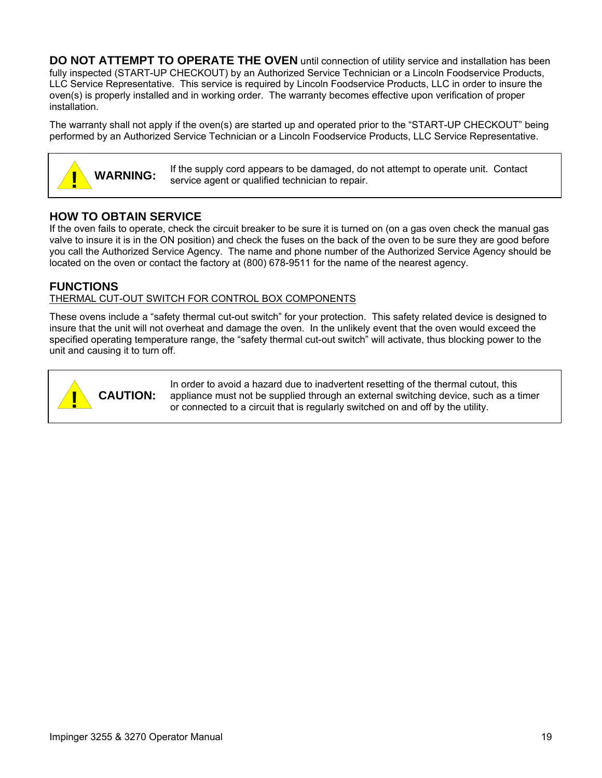**DO NOT ATTEMPT TO OPERATE THE OVEN** until connection of utility service and installation has been fully inspected (START-UP CHECKOUT) by an Authorized Service Technician or a Lincoln Foodservice Products, LLC Service Representative. This service is required by Lincoln Foodservice Products, LLC in order to insure the oven(s) is properly installed and in working order. The warranty becomes effective upon verification of proper installation.

The warranty shall not apply if the oven(s) are started up and operated prior to the "START-UP CHECKOUT" being performed by an Authorized Service Technician or a Lincoln Foodservice Products, LLC Service Representative.



WARNING: If the supply cord appears to be damaged, do not attempt to operate unit. Contact service agent or qualified technician to repair.

## **HOW TO OBTAIN SERVICE**

If the oven fails to operate, check the circuit breaker to be sure it is turned on (on a gas oven check the manual gas valve to insure it is in the ON position) and check the fuses on the back of the oven to be sure they are good before you call the Authorized Service Agency. The name and phone number of the Authorized Service Agency should be located on the oven or contact the factory at (800) 678-9511 for the name of the nearest agency.

# **FUNCTIONS**

#### THERMAL CUT-OUT SWITCH FOR CONTROL BOX COMPONENTS

These ovens include a "safety thermal cut-out switch" for your protection. This safety related device is designed to insure that the unit will not overheat and damage the oven. In the unlikely event that the oven would exceed the specified operating temperature range, the "safety thermal cut-out switch" will activate, thus blocking power to the unit and causing it to turn off.



In order to avoid a hazard due to inadvertent resetting of the thermal cutout, this appliance must not be supplied through an external switching device, such as a timer or connected to a circuit that is regularly switched on and off by the utility.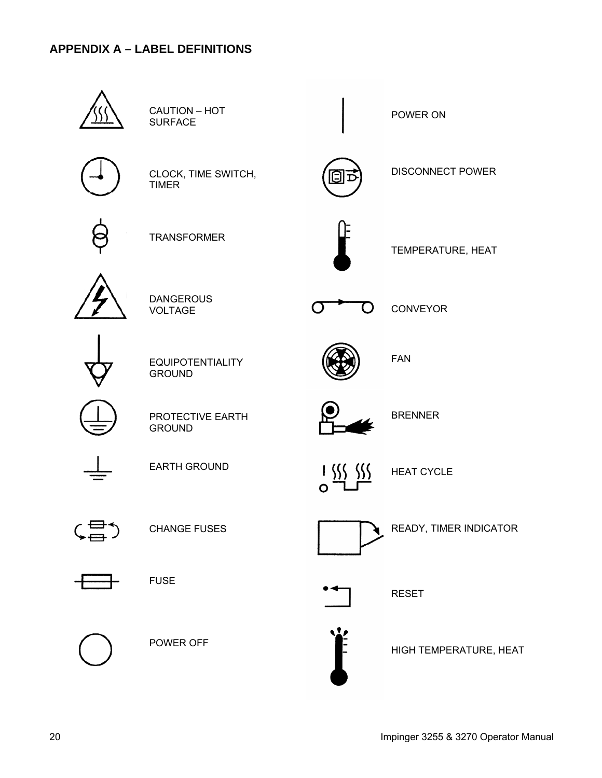# **APPENDIX A – LABEL DEFINITIONS**

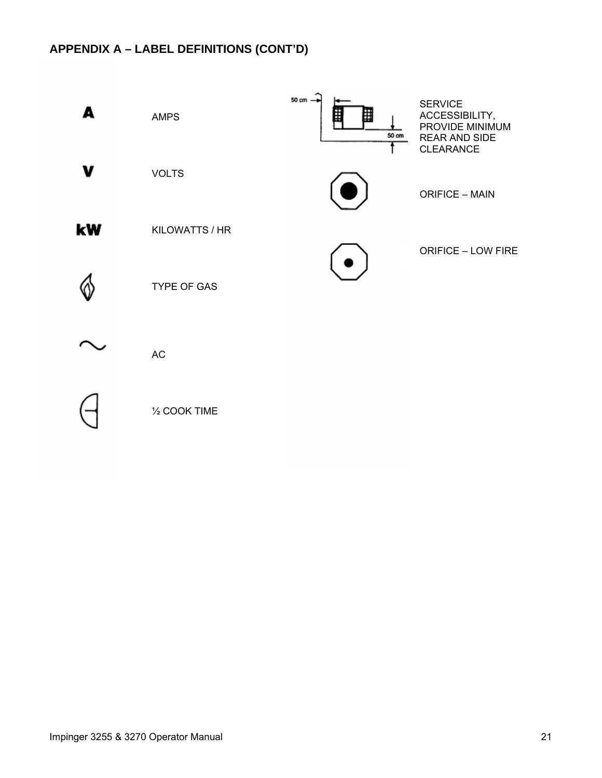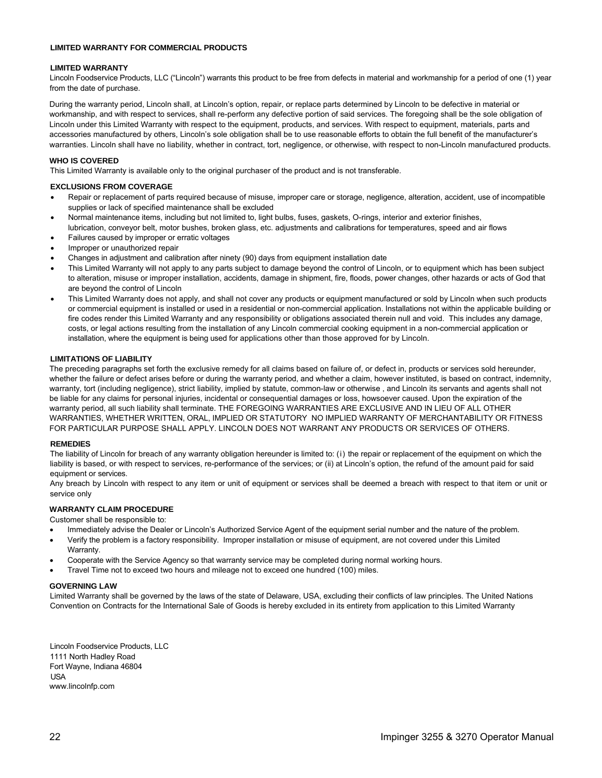#### **LIMITED WARRANTY FOR COMMERCIAL PRODUCTS**

#### **LIMITED WARRANTY**

Lincoln Foodservice Products, LLC ("Lincoln") warrants this product to be free from defects in material and workmanship for a period of one (1) year from the date of purchase.

During the warranty period, Lincoln shall, at Lincoln's option, repair, or replace parts determined by Lincoln to be defective in material or workmanship, and with respect to services, shall re-perform any defective portion of said services. The foregoing shall be the sole obligation of Lincoln under this Limited Warranty with respect to the equipment, products, and services. With respect to equipment, materials, parts and accessories manufactured by others, Lincoln's sole obligation shall be to use reasonable efforts to obtain the full benefit of the manufacturer's warranties. Lincoln shall have no liability, whether in contract, tort, negligence, or otherwise, with respect to non-Lincoln manufactured products.

#### **WHO IS COVERED**

This Limited Warranty is available only to the original purchaser of the product and is not transferable.

#### **EXCLUSIONS FROM COVERAGE**

- Repair or replacement of parts required because of misuse, improper care or storage, negligence, alteration, accident, use of incompatible supplies or lack of specified maintenance shall be excluded
- Normal maintenance items, including but not limited to, light bulbs, fuses, gaskets, O-rings, interior and exterior finishes, lubrication, conveyor belt, motor bushes, broken glass, etc. adjustments and calibrations for temperatures, speed and air flows
- Failures caused by improper or erratic voltages
- Improper or unauthorized repair
- Changes in adjustment and calibration after ninety (90) days from equipment installation date
- This Limited Warranty will not apply to any parts subject to damage beyond the control of Lincoln, or to equipment which has been subject to alteration, misuse or improper installation, accidents, damage in shipment, fire, floods, power changes, other hazards or acts of God that are beyond the control of Lincoln
- This Limited Warranty does not apply, and shall not cover any products or equipment manufactured or sold by Lincoln when such products or commercial equipment is installed or used in a residential or non-commercial application. Installations not within the applicable building or fire codes render this Limited Warranty and any responsibility or obligations associated therein null and void. This includes any damage, costs, or legal actions resulting from the installation of any Lincoln commercial cooking equipment in a non-commercial application or installation, where the equipment is being used for applications other than those approved for by Lincoln.

#### **LIMITATIONS OF LIABILITY**

The preceding paragraphs set forth the exclusive remedy for all claims based on failure of, or defect in, products or services sold hereunder, whether the failure or defect arises before or during the warranty period, and whether a claim, however instituted, is based on contract, indemnity, warranty, tort (including negligence), strict liability, implied by statute, common-law or otherwise , and Lincoln its servants and agents shall not be liable for any claims for personal injuries, incidental or consequential damages or loss, howsoever caused. Upon the expiration of the warranty period, all such liability shall terminate. THE FOREGOING WARRANTIES ARE EXCLUSIVE AND IN LIEU OF ALL OTHER WARRANTIES, WHETHER WRITTEN, ORAL, IMPLIED OR STATUTORY NO IMPLIED WARRANTY OF MERCHANTABILITY OR FITNESS FOR PARTICULAR PURPOSE SHALL APPLY. LINCOLN DOES NOT WARRANT ANY PRODUCTS OR SERVICES OF OTHERS.

#### **REMEDIES**

The liability of Lincoln for breach of any warranty obligation hereunder is limited to: (i) the repair or replacement of the equipment on which the liability is based, or with respect to services, re-performance of the services; or (ii) at Lincoln's option, the refund of the amount paid for said equipment or services.

Any breach by Lincoln with respect to any item or unit of equipment or services shall be deemed a breach with respect to that item or unit or service only

#### **WARRANTY CLAIM PROCEDURE**

Customer shall be responsible to:

- Immediately advise the Dealer or Lincoln's Authorized Service Agent of the equipment serial number and the nature of the problem.
- Verify the problem is a factory responsibility. Improper installation or misuse of equipment, are not covered under this Limited **Warranty**
- Cooperate with the Service Agency so that warranty service may be completed during normal working hours.
- Travel Time not to exceed two hours and mileage not to exceed one hundred (100) miles.

#### **GOVERNING LAW**

Limited Warranty shall be governed by the laws of the state of Delaware, USA, excluding their conflicts of law principles. The United Nations Convention on Contracts for the International Sale of Goods is hereby excluded in its entirety from application to this Limited Warranty

Lincoln Foodservice Products, LLC 1111 North Hadley Road Fort Wayne, Indiana 46804 USA www.lincolnfp.com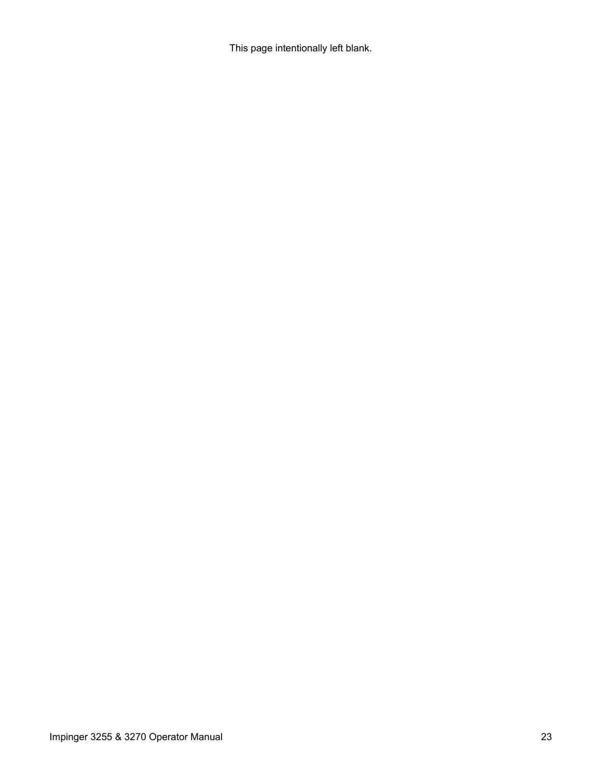This page intentionally left blank.